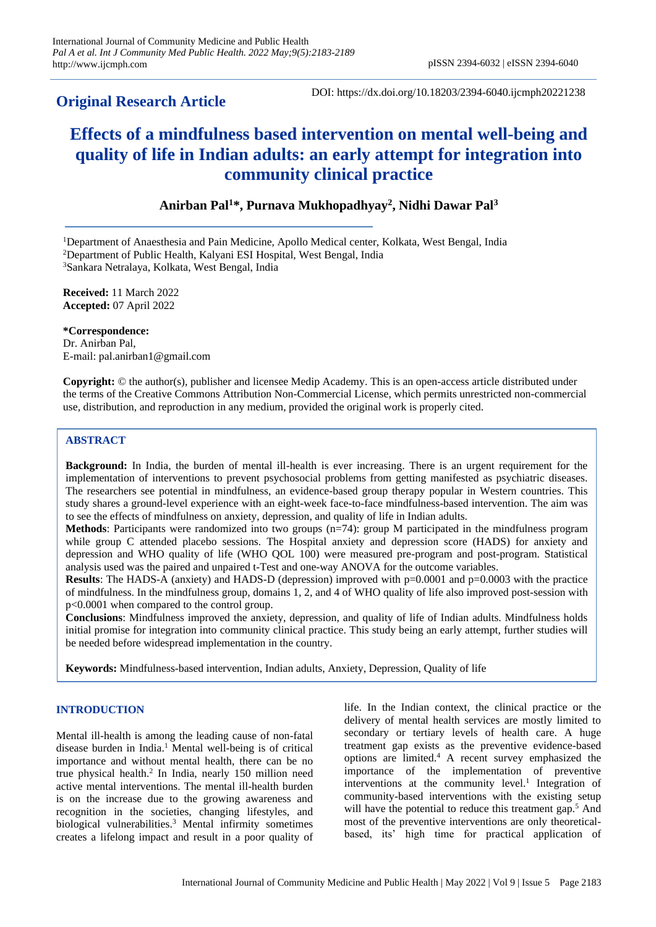# **Original Research Article**

DOI: https://dx.doi.org/10.18203/2394-6040.ijcmph20221238

# **Effects of a mindfulness based intervention on mental well-being and quality of life in Indian adults: an early attempt for integration into community clinical practice**

# **Anirban Pal<sup>1</sup>\*, Purnava Mukhopadhyay<sup>2</sup> , Nidhi Dawar Pal<sup>3</sup>**

<sup>1</sup>Department of Anaesthesia and Pain Medicine, Apollo Medical center, Kolkata, West Bengal, India <sup>2</sup>Department of Public Health, Kalyani ESI Hospital, West Bengal, India <sup>3</sup>Sankara Netralaya, Kolkata, West Bengal, India

**Received:** 11 March 2022 **Accepted:** 07 April 2022

# **\*Correspondence:**

Dr. Anirban Pal, E-mail: pal.anirban1@gmail.com

**Copyright:** © the author(s), publisher and licensee Medip Academy. This is an open-access article distributed under the terms of the Creative Commons Attribution Non-Commercial License, which permits unrestricted non-commercial use, distribution, and reproduction in any medium, provided the original work is properly cited.

# **ABSTRACT**

**Background:** In India, the burden of mental ill-health is ever increasing. There is an urgent requirement for the implementation of interventions to prevent psychosocial problems from getting manifested as psychiatric diseases. The researchers see potential in mindfulness, an evidence-based group therapy popular in Western countries. This study shares a ground-level experience with an eight-week face-to-face mindfulness-based intervention. The aim was to see the effects of mindfulness on anxiety, depression, and quality of life in Indian adults.

**Methods**: Participants were randomized into two groups (n=74): group M participated in the mindfulness program while group C attended placebo sessions. The Hospital anxiety and depression score (HADS) for anxiety and depression and WHO quality of life (WHO QOL 100) were measured pre-program and post-program. Statistical analysis used was the paired and unpaired t-Test and one-way ANOVA for the outcome variables.

**Results**: The HADS-A (anxiety) and HADS-D (depression) improved with p=0.0001 and p=0.0003 with the practice of mindfulness. In the mindfulness group, domains 1, 2, and 4 of WHO quality of life also improved post-session with p<0.0001 when compared to the control group.

**Conclusions**: Mindfulness improved the anxiety, depression, and quality of life of Indian adults. Mindfulness holds initial promise for integration into community clinical practice. This study being an early attempt, further studies will be needed before widespread implementation in the country.

**Keywords:** Mindfulness-based intervention, Indian adults, Anxiety, Depression, Quality of life

# **INTRODUCTION**

Mental ill-health is among the leading cause of non-fatal disease burden in India.<sup>1</sup> Mental well-being is of critical importance and without mental health, there can be no true physical health.<sup>2</sup> In India, nearly 150 million need active mental interventions. The mental ill-health burden is on the increase due to the growing awareness and recognition in the societies, changing lifestyles, and biological vulnerabilities.<sup>3</sup> Mental infirmity sometimes creates a lifelong impact and result in a poor quality of

life. In the Indian context, the clinical practice or the delivery of mental health services are mostly limited to secondary or tertiary levels of health care. A huge treatment gap exists as the preventive evidence-based options are limited.<sup>4</sup> A recent survey emphasized the importance of the implementation of preventive interventions at the community level.<sup>1</sup> Integration of community-based interventions with the existing setup will have the potential to reduce this treatment gap.<sup>5</sup> And most of the preventive interventions are only theoreticalbased, its' high time for practical application of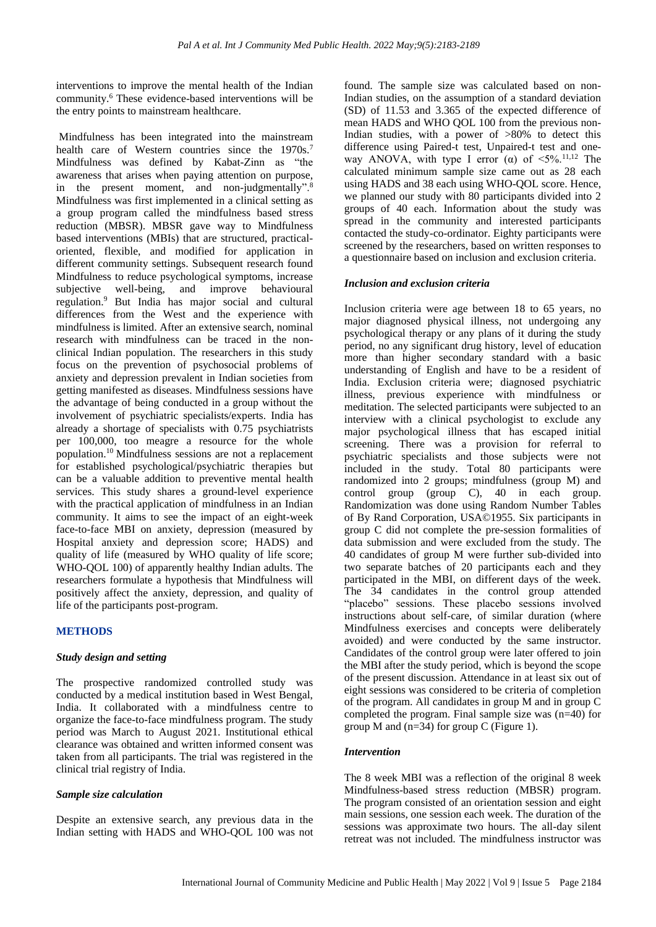interventions to improve the mental health of the Indian community.<sup>6</sup> These evidence-based interventions will be the entry points to mainstream healthcare.

Mindfulness has been integrated into the mainstream health care of Western countries since the 1970s.<sup>7</sup> Mindfulness was defined by Kabat-Zinn as "the awareness that arises when paying attention on purpose, in the present moment, and non-judgmentally".<sup>8</sup> Mindfulness was first implemented in a clinical setting as a group program called the mindfulness based stress reduction (MBSR). MBSR gave way to Mindfulness based interventions (MBIs) that are structured, practicaloriented, flexible, and modified for application in different community settings. Subsequent research found Mindfulness to reduce psychological symptoms, increase subjective well-being, and improve behavioural regulation.<sup>9</sup> But India has major social and cultural differences from the West and the experience with mindfulness is limited. After an extensive search, nominal research with mindfulness can be traced in the nonclinical Indian population. The researchers in this study focus on the prevention of psychosocial problems of anxiety and depression prevalent in Indian societies from getting manifested as diseases. Mindfulness sessions have the advantage of being conducted in a group without the involvement of psychiatric specialists/experts. India has already a shortage of specialists with 0.75 psychiatrists per 100,000, too meagre a resource for the whole population.<sup>10</sup>Mindfulness sessions are not a replacement for established psychological/psychiatric therapies but can be a valuable addition to preventive mental health services. This study shares a ground-level experience with the practical application of mindfulness in an Indian community. It aims to see the impact of an eight-week face-to-face MBI on anxiety, depression (measured by Hospital anxiety and depression score; HADS) and quality of life (measured by WHO quality of life score; WHO-QOL 100) of apparently healthy Indian adults. The researchers formulate a hypothesis that Mindfulness will positively affect the anxiety, depression, and quality of life of the participants post-program.

# **METHODS**

### *Study design and setting*

The prospective randomized controlled study was conducted by a medical institution based in West Bengal, India. It collaborated with a mindfulness centre to organize the face-to-face mindfulness program. The study period was March to August 2021. Institutional ethical clearance was obtained and written informed consent was taken from all participants. The trial was registered in the clinical trial registry of India.

### *Sample size calculation*

Despite an extensive search, any previous data in the Indian setting with HADS and WHO-QOL 100 was not

found. The sample size was calculated based on non-Indian studies, on the assumption of a standard deviation (SD) of 11.53 and 3.365 of the expected difference of mean HADS and WHO QOL 100 from the previous non-Indian studies, with a power of >80% to detect this difference using Paired-t test, Unpaired-t test and oneway ANOVA, with type I error ( $\alpha$ ) of <5%.<sup>11,12</sup> The calculated minimum sample size came out as 28 each using HADS and 38 each using WHO-QOL score. Hence, we planned our study with 80 participants divided into 2 groups of 40 each. Information about the study was spread in the community and interested participants contacted the study-co-ordinator. Eighty participants were screened by the researchers, based on written responses to a questionnaire based on inclusion and exclusion criteria.

### *Inclusion and exclusion criteria*

Inclusion criteria were age between 18 to 65 years, no major diagnosed physical illness, not undergoing any psychological therapy or any plans of it during the study period, no any significant drug history, level of education more than higher secondary standard with a basic understanding of English and have to be a resident of India. Exclusion criteria were; diagnosed psychiatric illness, previous experience with mindfulness or meditation. The selected participants were subjected to an interview with a clinical psychologist to exclude any major psychological illness that has escaped initial screening. There was a provision for referral to psychiatric specialists and those subjects were not included in the study. Total 80 participants were randomized into 2 groups; mindfulness (group M) and control group (group C), 40 in each group. Randomization was done using Random Number Tables of By Rand Corporation, USA©1955. Six participants in group C did not complete the pre-session formalities of data submission and were excluded from the study. The 40 candidates of group M were further sub-divided into two separate batches of 20 participants each and they participated in the MBI, on different days of the week. The 34 candidates in the control group attended "placebo" sessions. These placebo sessions involved instructions about self-care, of similar duration (where Mindfulness exercises and concepts were deliberately avoided) and were conducted by the same instructor. Candidates of the control group were later offered to join the MBI after the study period, which is beyond the scope of the present discussion. Attendance in at least six out of eight sessions was considered to be criteria of completion of the program. All candidates in group M and in group C completed the program. Final sample size was (n=40) for group M and  $(n=34)$  for group C (Figure 1).

### *Intervention*

The 8 week MBI was a reflection of the original 8 week Mindfulness-based stress reduction (MBSR) program. The program consisted of an orientation session and eight main sessions, one session each week. The duration of the sessions was approximate two hours. The all-day silent retreat was not included. The mindfulness instructor was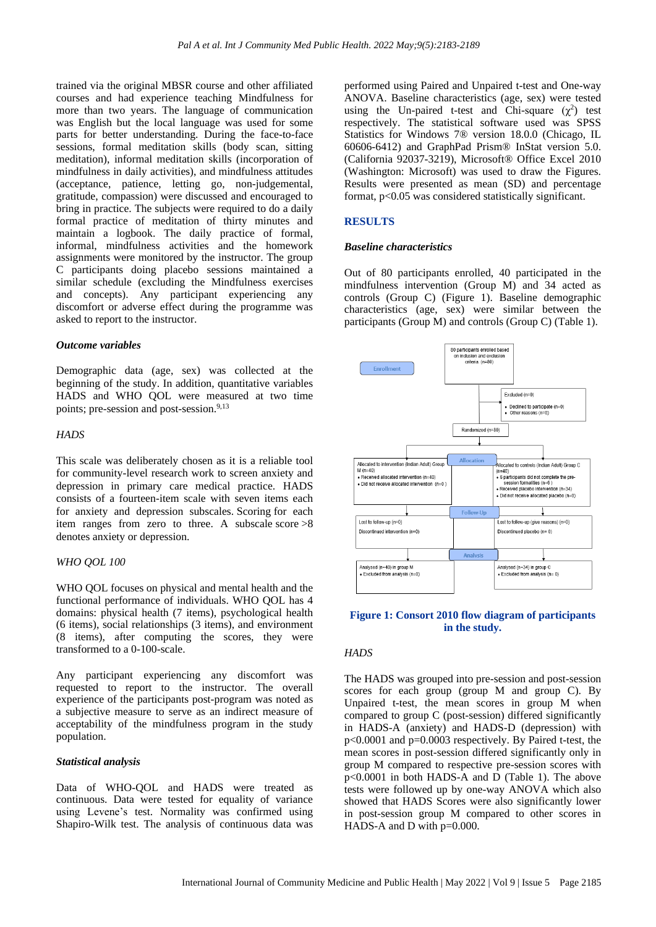trained via the original MBSR course and other affiliated courses and had experience teaching Mindfulness for more than two years. The language of communication was English but the local language was used for some parts for better understanding. During the face-to-face sessions, formal meditation skills (body scan, sitting meditation), informal meditation skills (incorporation of mindfulness in daily activities), and mindfulness attitudes (acceptance, patience, letting go, non-judgemental, gratitude, compassion) were discussed and encouraged to bring in practice. The subjects were required to do a daily formal practice of meditation of thirty minutes and maintain a logbook. The daily practice of formal, informal, mindfulness activities and the homework assignments were monitored by the instructor. The group C participants doing placebo sessions maintained a similar schedule (excluding the Mindfulness exercises and concepts). Any participant experiencing any discomfort or adverse effect during the programme was asked to report to the instructor.

#### *Outcome variables*

Demographic data (age, sex) was collected at the beginning of the study. In addition, quantitative variables HADS and WHO QOL were measured at two time points; pre-session and post-session.<sup>9,13</sup>

#### *HADS*

This scale was deliberately chosen as it is a reliable tool for community-level research work to screen anxiety and depression in primary care medical practice. HADS consists of a fourteen-item scale with seven items each for anxiety and depression subscales. Scoring for each item ranges from zero to three. A subscale score >8 denotes anxiety or depression.

# *WHO QOL 100*

WHO QOL focuses on physical and mental health and the functional performance of individuals. WHO QOL has 4 domains: physical health (7 items), psychological health (6 items), social relationships (3 items), and environment (8 items), after computing the scores, they were transformed to a 0-100-scale.

Any participant experiencing any discomfort was requested to report to the instructor. The overall experience of the participants post-program was noted as a subjective measure to serve as an indirect measure of acceptability of the mindfulness program in the study population.

#### *Statistical analysis*

Data of WHO-QOL and HADS were treated as continuous. Data were tested for equality of variance using Levene's test. Normality was confirmed using Shapiro-Wilk test. The analysis of continuous data was

performed using Paired and Unpaired t-test and One-way ANOVA. Baseline characteristics (age, sex) were tested using the Un-paired t-test and Chi-square  $(\chi^2)$  test respectively. The statistical software used was SPSS Statistics for Windows 7® version 18.0.0 (Chicago, IL 60606-6412) and GraphPad Prism® InStat version 5.0. (California 92037-3219), Microsoft® Office Excel 2010 (Washington: Microsoft) was used to draw the Figures. Results were presented as mean (SD) and percentage format, p<0.05 was considered statistically significant.

#### **RESULTS**

## *Baseline characteristics*

Out of 80 participants enrolled, 40 participated in the mindfulness intervention (Group M) and 34 acted as controls (Group C) (Figure 1). Baseline demographic characteristics (age, sex) were similar between the participants (Group M) and controls (Group C) (Table 1).



#### **Figure 1: Consort 2010 flow diagram of participants in the study.**

#### *HADS*

The HADS was grouped into pre-session and post-session scores for each group (group M and group C). By Unpaired t-test, the mean scores in group M when compared to group C (post-session) differed significantly in HADS-A (anxiety) and HADS-D (depression) with p<0.0001 and p=0.0003 respectively. By Paired t-test, the mean scores in post-session differed significantly only in group M compared to respective pre-session scores with p<0.0001 in both HADS-A and D (Table 1). The above tests were followed up by one-way ANOVA which also showed that HADS Scores were also significantly lower in post-session group M compared to other scores in HADS-A and D with  $p=0.000$ .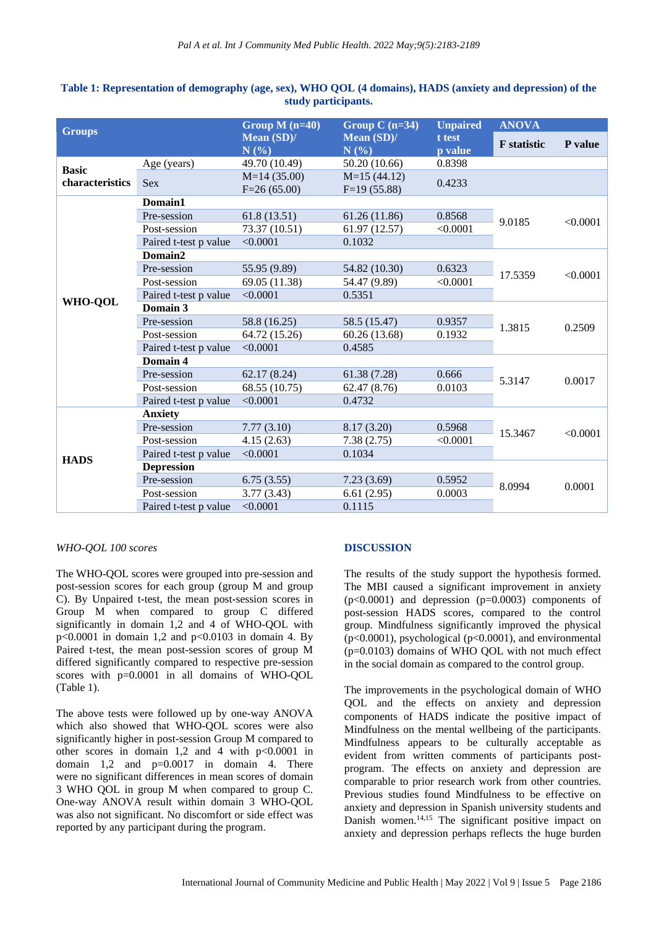| <b>Groups</b>                          |                       | Group $M(n=40)$<br>Mean (SD)/<br>N(%) | Group C $(n=34)$<br>Mean (SD)/<br>N(%) | <b>Unpaired</b><br>t test<br>p value | <b>ANOVA</b>       |          |
|----------------------------------------|-----------------------|---------------------------------------|----------------------------------------|--------------------------------------|--------------------|----------|
|                                        |                       |                                       |                                        |                                      | <b>F</b> statistic | P value  |
| <b>Basic</b><br><b>characteristics</b> | Age (years)           | 49.70 (10.49)                         | 50.20 (10.66)                          | 0.8398                               |                    |          |
|                                        | <b>Sex</b>            | $M=14(35.00)$<br>$F=26(65.00)$        | $M=15(44.12)$<br>$F=19(55.88)$         | 0.4233                               |                    |          |
| <b>WHO-QOL</b>                         | Domain1               |                                       |                                        |                                      |                    | < 0.0001 |
|                                        | Pre-session           | 61.8(13.51)                           | 61.26 (11.86)                          | 0.8568                               | 9.0185             |          |
|                                        | Post-session          | 73.37 (10.51)                         | 61.97 (12.57)                          | < 0.0001                             |                    |          |
|                                        | Paired t-test p value | < 0.0001                              | 0.1032                                 |                                      |                    |          |
|                                        | Domain2               |                                       |                                        |                                      |                    | < 0.0001 |
|                                        | Pre-session           | 55.95 (9.89)                          | 54.82 (10.30)                          | 0.6323                               | 17.5359            |          |
|                                        | Post-session          | 69.05 (11.38)                         | 54.47 (9.89)                           | < 0.0001                             |                    |          |
|                                        | Paired t-test p value | < 0.0001                              | 0.5351                                 |                                      |                    |          |
|                                        | Domain 3              |                                       |                                        |                                      | 1.3815             | 0.2509   |
|                                        | Pre-session           | 58.8 (16.25)                          | 58.5 (15.47)                           | 0.9357                               |                    |          |
|                                        | Post-session          | 64.72 (15.26)                         | 60.26 (13.68)                          | 0.1932                               |                    |          |
|                                        | Paired t-test p value | < 0.0001                              | 0.4585                                 |                                      |                    |          |
|                                        | Domain 4              |                                       |                                        |                                      | 5.3147             | 0.0017   |
|                                        | Pre-session           | 62.17(8.24)                           | 61.38 (7.28)                           | 0.666                                |                    |          |
|                                        | Post-session          | 68.55 (10.75)                         | 62.47(8.76)                            | 0.0103                               |                    |          |
|                                        | Paired t-test p value | < 0.0001                              | 0.4732                                 |                                      |                    |          |
| <b>HADS</b>                            | <b>Anxiety</b>        |                                       |                                        |                                      |                    | < 0.0001 |
|                                        | Pre-session           | 7.77(3.10)                            | 8.17 (3.20)                            | 0.5968                               | 15.3467            |          |
|                                        | Post-session          | 4.15(2.63)                            | 7.38(2.75)                             | < 0.0001                             |                    |          |
|                                        | Paired t-test p value | < 0.0001                              | 0.1034                                 |                                      |                    |          |
|                                        | <b>Depression</b>     |                                       |                                        |                                      |                    | 0.0001   |
|                                        | Pre-session           | 6.75(3.55)                            | 7.23(3.69)                             | 0.5952                               | 8.0994             |          |
|                                        | Post-session          | 3.77(3.43)                            | 6.61(2.95)                             | 0.0003                               |                    |          |
|                                        | Paired t-test p value | < 0.0001                              | 0.1115                                 |                                      |                    |          |

# **Table 1: Representation of demography (age, sex), WHO QOL (4 domains), HADS (anxiety and depression) of the study participants.**

# *WHO-QOL 100 scores*

The WHO-QOL scores were grouped into pre-session and post-session scores for each group (group M and group C). By Unpaired t-test, the mean post-session scores in Group M when compared to group C differed significantly in domain 1,2 and 4 of WHO-QOL with  $p<0.0001$  in domain 1,2 and  $p<0.0103$  in domain 4. By Paired t-test, the mean post-session scores of group M differed significantly compared to respective pre-session scores with p=0.0001 in all domains of WHO-QOL (Table 1).

The above tests were followed up by one-way ANOVA which also showed that WHO-QOL scores were also significantly higher in post-session Group M compared to other scores in domain 1,2 and 4 with  $p<0.0001$  in domain 1,2 and p=0.0017 in domain 4. There were no significant differences in mean scores of domain 3 WHO QOL in group M when compared to group C. One-way ANOVA result within domain 3 WHO-QOL was also not significant. No discomfort or side effect was reported by any participant during the program.

# **DISCUSSION**

The results of the study support the hypothesis formed. The MBI caused a significant improvement in anxiety  $(p<0.0001)$  and depression  $(p=0.0003)$  components of post-session HADS scores, compared to the control group. Mindfulness significantly improved the physical (p<0.0001), psychological (p<0.0001), and environmental  $(p=0.0103)$  domains of WHO QOL with not much effect in the social domain as compared to the control group.

The improvements in the psychological domain of WHO QOL and the effects on anxiety and depression components of HADS indicate the positive impact of Mindfulness on the mental wellbeing of the participants. Mindfulness appears to be culturally acceptable as evident from written comments of participants postprogram. The effects on anxiety and depression are comparable to prior research work from other countries. Previous studies found Mindfulness to be effective on anxiety and depression in Spanish university students and Danish women.<sup>14,15</sup> The significant positive impact on anxiety and depression perhaps reflects the huge burden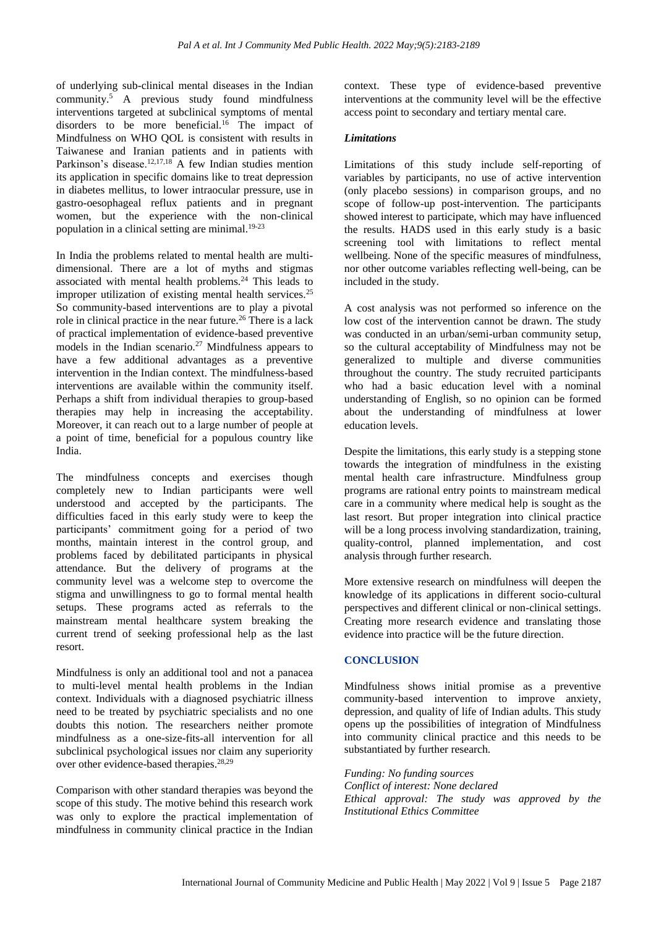of underlying sub-clinical mental diseases in the Indian community.<sup>5</sup> A previous study found mindfulness interventions targeted at subclinical symptoms of mental disorders to be more beneficial.<sup>16</sup> The impact of Mindfulness on WHO QOL is consistent with results in Taiwanese and Iranian patients and in patients with Parkinson's disease.<sup>12,17,18</sup> A few Indian studies mention its application in specific domains like to treat depression in diabetes mellitus, to lower intraocular pressure, use in gastro-oesophageal reflux patients and in pregnant women, but the experience with the non-clinical population in a clinical setting are minimal.19-23

In India the problems related to mental health are multidimensional. There are a lot of myths and stigmas associated with mental health problems.<sup>24</sup> This leads to improper utilization of existing mental health services.<sup>25</sup> So community-based interventions are to play a pivotal role in clinical practice in the near future.<sup>26</sup> There is a lack of practical implementation of evidence-based preventive models in the Indian scenario.<sup>27</sup> Mindfulness appears to have a few additional advantages as a preventive intervention in the Indian context. The mindfulness-based interventions are available within the community itself. Perhaps a shift from individual therapies to group-based therapies may help in increasing the acceptability. Moreover, it can reach out to a large number of people at a point of time, beneficial for a populous country like India.

The mindfulness concepts and exercises though completely new to Indian participants were well understood and accepted by the participants. The difficulties faced in this early study were to keep the participants' commitment going for a period of two months, maintain interest in the control group, and problems faced by debilitated participants in physical attendance. But the delivery of programs at the community level was a welcome step to overcome the stigma and unwillingness to go to formal mental health setups. These programs acted as referrals to the mainstream mental healthcare system breaking the current trend of seeking professional help as the last resort.

Mindfulness is only an additional tool and not a panacea to multi-level mental health problems in the Indian context. Individuals with a diagnosed psychiatric illness need to be treated by psychiatric specialists and no one doubts this notion. The researchers neither promote mindfulness as a one-size-fits-all intervention for all subclinical psychological issues nor claim any superiority over other evidence-based therapies.<sup>28,29</sup>

Comparison with other standard therapies was beyond the scope of this study. The motive behind this research work was only to explore the practical implementation of mindfulness in community clinical practice in the Indian context. These type of evidence-based preventive interventions at the community level will be the effective access point to secondary and tertiary mental care.

# *Limitations*

Limitations of this study include self-reporting of variables by participants, no use of active intervention (only placebo sessions) in comparison groups, and no scope of follow-up post-intervention. The participants showed interest to participate, which may have influenced the results. HADS used in this early study is a basic screening tool with limitations to reflect mental wellbeing. None of the specific measures of mindfulness, nor other outcome variables reflecting well-being, can be included in the study.

A cost analysis was not performed so inference on the low cost of the intervention cannot be drawn. The study was conducted in an urban/semi-urban community setup, so the cultural acceptability of Mindfulness may not be generalized to multiple and diverse communities throughout the country. The study recruited participants who had a basic education level with a nominal understanding of English, so no opinion can be formed about the understanding of mindfulness at lower education levels.

Despite the limitations, this early study is a stepping stone towards the integration of mindfulness in the existing mental health care infrastructure. Mindfulness group programs are rational entry points to mainstream medical care in a community where medical help is sought as the last resort. But proper integration into clinical practice will be a long process involving standardization, training, quality-control, planned implementation, and cost analysis through further research.

More extensive research on mindfulness will deepen the knowledge of its applications in different socio-cultural perspectives and different clinical or non-clinical settings. Creating more research evidence and translating those evidence into practice will be the future direction.

# **CONCLUSION**

Mindfulness shows initial promise as a preventive community-based intervention to improve anxiety, depression, and quality of life of Indian adults. This study opens up the possibilities of integration of Mindfulness into community clinical practice and this needs to be substantiated by further research.

*Funding: No funding sources Conflict of interest: None declared Ethical approval: The study was approved by the Institutional Ethics Committee*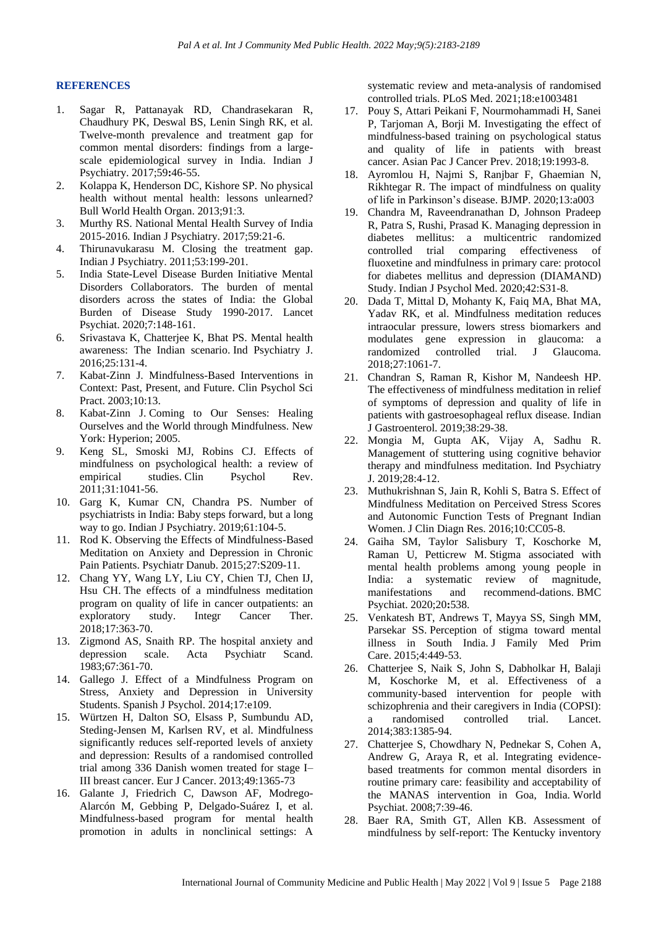## **REFERENCES**

- 1. Sagar R, Pattanayak RD, Chandrasekaran R, Chaudhury PK, Deswal BS, Lenin Singh RK, et al. Twelve-month prevalence and treatment gap for common mental disorders: findings from a largescale epidemiological survey in India. Indian J Psychiatry. 2017;59**:**46-55.
- 2. Kolappa K, Henderson DC, Kishore SP. No physical health without mental health: lessons unlearned? Bull World Health Organ. 2013;91:3.
- 3. Murthy RS. National Mental Health Survey of India 2015-2016. Indian J Psychiatry. 2017;59:21-6.
- 4. Thirunavukarasu M. Closing the treatment gap. Indian J Psychiatry. 2011;53:199-201.
- 5. India State-Level Disease Burden Initiative Mental Disorders Collaborators. The burden of mental disorders across the states of India: the Global Burden of Disease Study 1990-2017. Lancet Psychiat. 2020;7:148-161.
- 6. Srivastava K, Chatterjee K, Bhat PS. Mental health awareness: The Indian scenario. Ind Psychiatry J. 2016;25:131-4.
- 7. Kabat-Zinn J. Mindfulness-Based Interventions in Context: Past, Present, and Future. Clin Psychol Sci Pract. 2003;10:13.
- 8. Kabat-Zinn J. Coming to Our Senses: Healing Ourselves and the World through Mindfulness. New York: Hyperion; 2005.
- 9. Keng SL, Smoski MJ, Robins CJ. Effects of mindfulness on psychological health: a review of empirical studies. Clin Psychol Rev. 2011;31:1041-56.
- 10. Garg K, Kumar CN, Chandra PS. Number of psychiatrists in India: Baby steps forward, but a long way to go. Indian J Psychiatry. 2019;61:104-5.
- 11. Rod K. Observing the Effects of Mindfulness-Based Meditation on Anxiety and Depression in Chronic Pain Patients. Psychiatr Danub. 2015;27:S209-11.
- 12. Chang YY, Wang LY, Liu CY, Chien TJ, Chen IJ, Hsu CH. The effects of a mindfulness meditation program on quality of life in cancer outpatients: an exploratory study. Integr Cancer Ther. 2018;17:363-70.
- 13. Zigmond AS, Snaith RP. The hospital anxiety and depression scale. Acta Psychiatr Scand. 1983;67:361-70.
- 14. Gallego J. Effect of a Mindfulness Program on Stress, Anxiety and Depression in University Students. Spanish J Psychol. 2014;17:e109.
- 15. Würtzen H, Dalton SO, Elsass P, Sumbundu AD, Steding-Jensen M, Karlsen RV, et al. Mindfulness significantly reduces self-reported levels of anxiety and depression: Results of a randomised controlled trial among 336 Danish women treated for stage I– III breast cancer. Eur J Cancer. 2013;49:1365-73
- 16. Galante J, Friedrich C, Dawson AF, Modrego-Alarcón M, Gebbing P, Delgado-Suárez I, et al. Mindfulness-based program for mental health promotion in adults in nonclinical settings: A

systematic review and meta-analysis of randomised controlled trials. PLoS Med. 2021;18:e1003481

- 17. Pouy S, Attari Peikani F, Nourmohammadi H, Sanei P, Tarjoman A, Borji M. Investigating the effect of mindfulness-based training on psychological status and quality of life in patients with breast cancer. Asian Pac J Cancer Prev. 2018;19:1993-8.
- 18. Ayromlou H, Najmi S, Ranjbar F, Ghaemian N, Rikhtegar R. The impact of mindfulness on quality of life in Parkinson's disease. [BJMP. 2020;13:a003](http://bjmp.org/files/2020-13-1/bjmp-2020-13-1-a003.pdf)
- 19. Chandra M, Raveendranathan D, Johnson Pradeep R, Patra S, Rushi, Prasad K. Managing depression in diabetes mellitus: a multicentric randomized controlled trial comparing effectiveness of fluoxetine and mindfulness in primary care: protocol for diabetes mellitus and depression (DIAMAND) Study. Indian J Psychol Med. 2020;42:S31-8.
- 20. Dada T, Mittal D, Mohanty K, Faiq MA, Bhat MA, Yadav RK, et al. Mindfulness meditation reduces intraocular pressure, lowers stress biomarkers and modulates gene expression in glaucoma: a randomized controlled trial. J Glaucoma. 2018;27:1061-7.
- 21. Chandran S, Raman R, Kishor M, Nandeesh HP. The effectiveness of mindfulness meditation in relief of symptoms of depression and quality of life in patients with gastroesophageal reflux disease. Indian J Gastroenterol. 2019;38:29-38.
- 22. Mongia M, Gupta AK, Vijay A, Sadhu R. Management of stuttering using cognitive behavior therapy and mindfulness meditation. Ind Psychiatry J. 2019;28:4-12.
- 23. Muthukrishnan S, Jain R, Kohli S, Batra S. Effect of Mindfulness Meditation on Perceived Stress Scores and Autonomic Function Tests of Pregnant Indian Women. J Clin Diagn Res. 2016;10:CC05-8.
- 24. Gaiha SM, Taylor Salisbury T, Koschorke M, Raman U, Petticrew M. Stigma associated with mental health problems among young people in India: a systematic review of magnitude, manifestations and recommend-dations. BMC Psychiat. 2020;20**:**538.
- 25. Venkatesh BT, Andrews T, Mayya SS, Singh MM, Parsekar SS. Perception of stigma toward mental illness in South India. J Family Med Prim Care. 2015;4:449-53.
- 26. Chatterjee S, Naik S, John S, Dabholkar H, Balaji M, Koschorke M, et al. Effectiveness of a community-based intervention for people with schizophrenia and their caregivers in India (COPSI): a randomised controlled trial. Lancet. 2014;383:1385-94.
- 27. Chatterjee S, Chowdhary N, Pednekar S, Cohen A, Andrew G, Araya R, et al. Integrating evidencebased treatments for common mental disorders in routine primary care: feasibility and acceptability of the MANAS intervention in Goa, India. World Psychiat. 2008;7:39-46.
- 28. Baer RA, Smith GT, Allen KB. Assessment of mindfulness by self-report: The Kentucky inventory